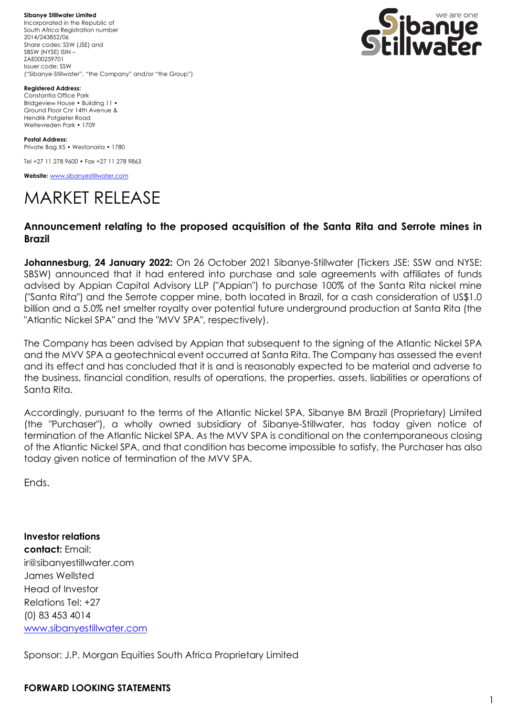**Sibanye Stillwater Limited** Incorporated in the Republic of South Africa Registration number 2014/243852/06 Share codes: SSW (JSE) and SBSW (NYSE) ISIN – ZAE000259701 Issuer code: SSW ("Sibanye-Stillwater", "the Company" and/or "the Group")



**Registered Address:**

Constantia Office Park Bridgeview House • Building 11 • Ground Floor Cnr 14th Avenue & Hendrik Potgieter Road Weltevreden Park • 1709

**Postal Address:** Private Bag X5 • Westonaria • 1780

Tel +27 11 278 9600 • Fax +27 11 278 9863

**Website:** [www.sibanyestillwater.com](http://www.sibanyestillwater.com/)

## MARKET RELEASE

## **Announcement relating to the proposed acquisition of the Santa Rita and Serrote mines in Brazil**

**Johannesburg, 24 January 2022:** On 26 October 2021 Sibanye-Stillwater (Tickers JSE: SSW and NYSE: SBSW) announced that it had entered into purchase and sale agreements with affiliates of funds advised by Appian Capital Advisory LLP ("Appian") to purchase 100% of the Santa Rita nickel mine ("Santa Rita") and the Serrote copper mine, both located in Brazil, for a cash consideration of US\$1.0 billion and a 5.0% net smelter royalty over potential future underground production at Santa Rita (the "Atlantic Nickel SPA" and the "MVV SPA", respectively).

The Company has been advised by Appian that subsequent to the signing of the Atlantic Nickel SPA and the MVV SPA a geotechnical event occurred at Santa Rita. The Company has assessed the event and its effect and has concluded that it is and is reasonably expected to be material and adverse to the business, financial condition, results of operations, the properties, assets, liabilities or operations of Santa Rita.

Accordingly, pursuant to the terms of the Atlantic Nickel SPA, Sibanye BM Brazil (Proprietary) Limited (the "Purchaser"), a wholly owned subsidiary of Sibanye-Stillwater, has today given notice of termination of the Atlantic Nickel SPA. As the MVV SPA is conditional on the contemporaneous closing of the Atlantic Nickel SPA, and that condition has become impossible to satisfy, the Purchaser has also today given notice of termination of the MVV SPA.

Ends.

**Investor relations contact:** Email: [ir@sibanyestillwater.com](mailto:ir@sibanyestillwater.com) James Wellsted Head of Investor Relations Tel: +27 (0) 83 453 4014 [www.sibanyestillwater.com](http://www.sibanyestillwater.com/)

Sponsor: J.P. Morgan Equities South Africa Proprietary Limited

## **FORWARD LOOKING STATEMENTS**